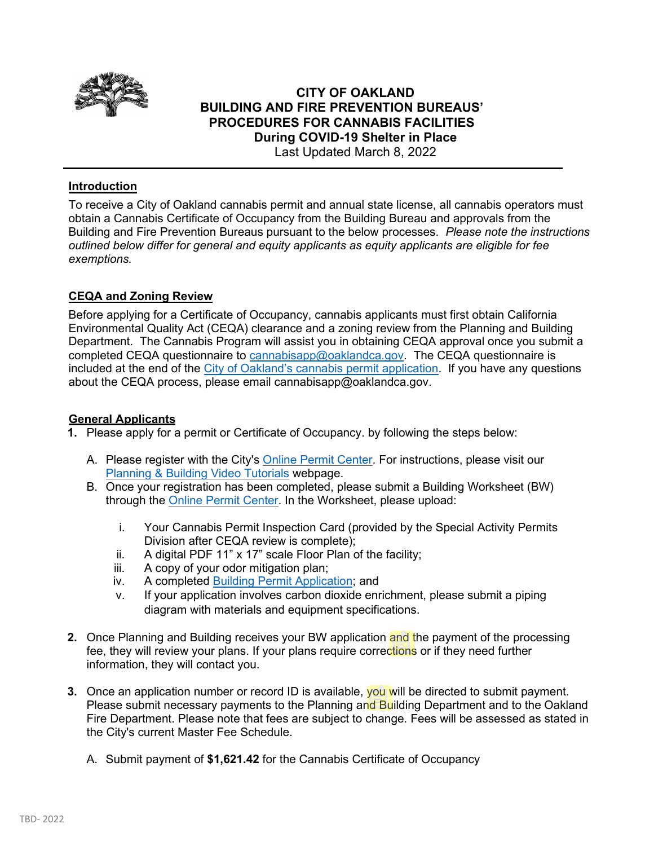

# **CITY OF OAKLAND BUILDING AND FIRE PREVENTION BUREAUS' PROCEDURES FOR CANNABIS FACILITIES During COVID-19 Shelter in Place**  Last Updated March 8, 2022

## **Introduction**

To receive a City of Oakland cannabis permit and annual state license, all cannabis operators must obtain a Cannabis Certificate of Occupancy from the Building Bureau and approvals from the Building and Fire Prevention Bureaus pursuant to the below processes. *Please note the instructions outlined below differ for general and equity applicants as equity applicants are eligible for fee exemptions.*

## **CEQA and Zoning Review**

Before applying for a Certificate of Occupancy, cannabis applicants must first obtain California Environmental Quality Act (CEQA) clearance and a zoning review from the Planning and Building Department. The Cannabis Program will assist you in obtaining CEQA approval once you submit a completed CEQA questionnaire to [cannabisapp@oaklandca.gov.](mailto:cannabisapp@oaklandca.gov) The CEQA questionnaire is included at the end of the [City of Oakland's cannabis permit application.](https://cao-94612.s3.amazonaws.com/documents/Fillable-City-of-Oakland-Cannabis-Permit-Application-020322.pdf) If you have any questions about the CEQA process, please email cannabisapp@oaklandca.gov.

#### **General Applicants**

- **1.** Please apply for a permit or Certificate of Occupancy. by following the steps below:
	- A. Please register with the City's [Online Permit Center.](https://aca-prod.accela.com/OAKLAND/Default.aspx) For instructions, please visit our [Planning & Building Video Tutorials](https://www.oaklandca.gov/services/planning-building-video-tutorials) webpage.
	- B. Once your registration has been completed, please submit a Building Worksheet (BW) through the [Online Permit Center.](https://aca-prod.accela.com/OAKLAND/Default.aspx) In the Worksheet, please upload:
		- i. Your Cannabis Permit Inspection Card (provided by the Special Activity Permits Division after CEQA review is complete);
		- ii. A digital PDF 11" x 17" scale Floor Plan of the facility;
		- iii. A copy of your odor mitigation plan;
		- iv. A completed [Building Permit Application;](http://www.oaklandca.gov/documents/application-worksheet-for-building-permits) and
		- v. If your application involves carbon dioxide enrichment, please submit a piping diagram with materials and equipment specifications.
- **2.** Once Planning and Building receives your BW application and the payment of the processing fee, they will review your plans. If your plans require corrections or if they need further information, they will contact you.
- **3.** Once an application number or record ID is available, you will be directed to submit payment. Please submit necessary payments to the Planning and Building Department and to the Oakland Fire Department. Please note that fees are subject to change. Fees will be assessed as stated in the City's current Master Fee Schedule.
	- A. Submit payment of **\$1,621.42** for the Cannabis Certificate of Occupancy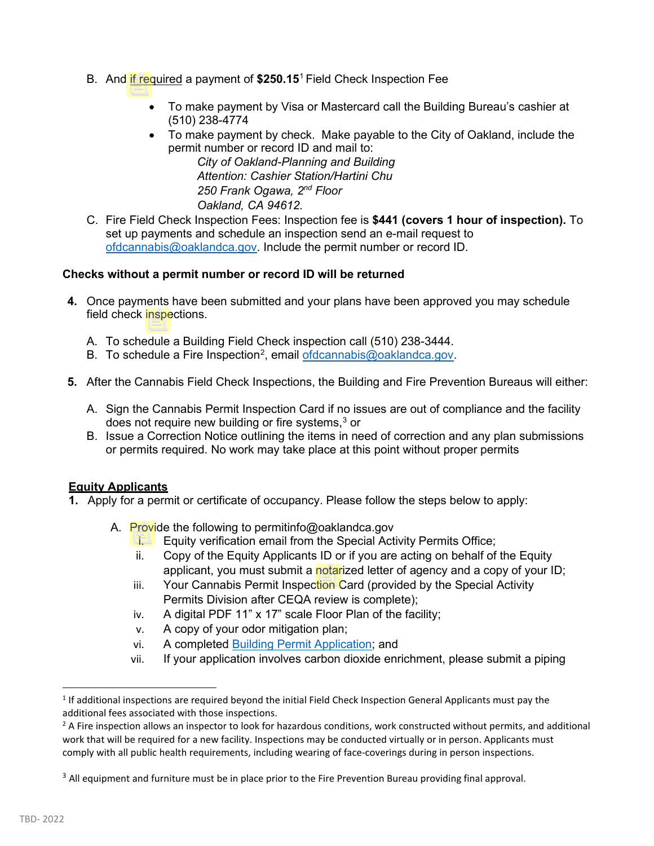- B. And if required a payment of **\$250.15**[1](#page-1-0) Field Check Inspection Fee
	- To make payment by Visa or Mastercard call the Building Bureau's cashier at (510) 238-4774
	- To make payment by check. Make payable to the City of Oakland, include the permit number or record ID and mail to:

*City of Oakland-Planning and Building Attention: Cashier Station/Hartini Chu 250 Frank Ogawa, 2nd Floor Oakland, CA 94612.*

C. Fire Field Check Inspection Fees: Inspection fee is **\$441 (covers 1 hour of inspection).** To set up payments and schedule an inspection send an e-mail request to [ofdcannabis@oaklandca.gov.](mailto:ofdcannabis@oaklandca.gov) Include the permit number or record ID.

## **Checks without a permit number or record ID will be returned**

- **4.** Once payments have been submitted and your plans have been approved you may schedule field check inspections.
	- A. To schedule a Building Field Check inspection call (510) 238-3444.
	- B. To schedule a Fire Inspection<sup>[2](#page-1-1)</sup>, email **ofdcannabis@oaklandca.gov.**
- **5.** After the Cannabis Field Check Inspections, the Building and Fire Prevention Bureaus will either:
	- A. Sign the Cannabis Permit Inspection Card if no issues are out of compliance and the facility does not require new building or fire systems,<sup>[3](#page-1-2)</sup> or
	- B. Issue a Correction Notice outlining the items in need of correction and any plan submissions or permits required. No work may take place at this point without proper permits

## **Equity Applicants**

- **1.** Apply for a permit or certificate of occupancy. Please follow the steps below to apply:
	- A. Provide the following to permitinfo@oaklandca.gov
		- i. Equity verification email from the Special Activity Permits Office;
		- ii. Copy of the Equity Applicants ID or if you are acting on behalf of the Equity applicant, you must submit a notarized letter of agency and a copy of your ID;
		- iii. Your Cannabis Permit Inspection Card (provided by the Special Activity Permits Division after CEQA review is complete);
		- iv. A digital PDF 11" x 17" scale Floor Plan of the facility;
		- v. A copy of your odor mitigation plan;
		- vi. A completed [Building Permit Application;](http://www.oaklandca.gov/documents/application-worksheet-for-building-permits) and
		- vii. If your application involves carbon dioxide enrichment, please submit a piping

<span id="page-1-0"></span> $1$  If additional inspections are required beyond the initial Field Check Inspection General Applicants must pay the additional fees associated with those inspections.

<span id="page-1-1"></span> $2$  A Fire inspection allows an inspector to look for hazardous conditions, work constructed without permits, and additional work that will be required for a new facility. Inspections may be conducted virtually or in person. Applicants must comply with all public health requirements, including wearing of face-coverings during in person inspections.

<span id="page-1-2"></span> $3$  All equipment and furniture must be in place prior to the Fire Prevention Bureau providing final approval.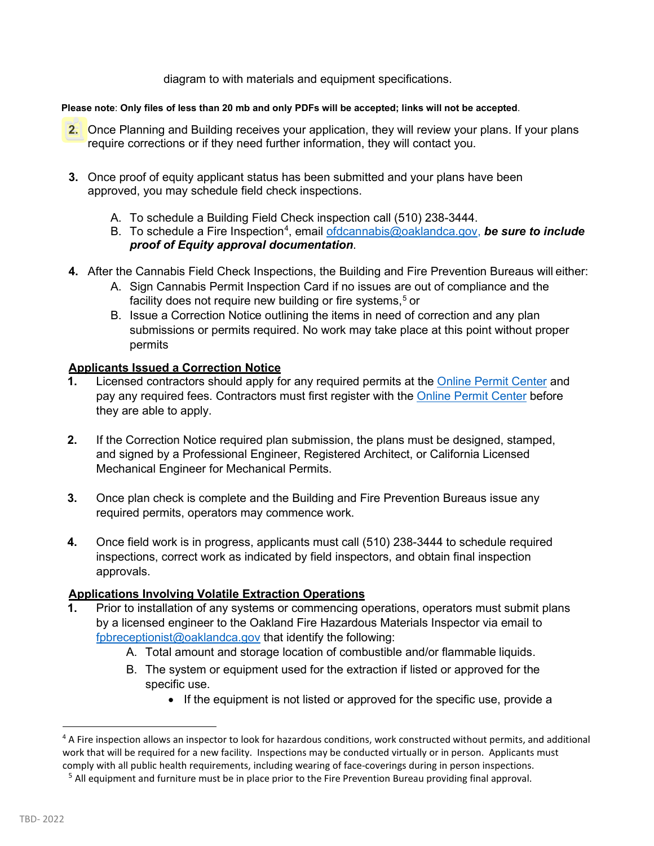diagram to with materials and equipment specifications.

#### **Please note**: **Only files of less than 20 mb and only PDFs will be accepted; links will not be accepted**.

- **2.** Once Planning and Building receives your application, they will review your plans. If your plans require corrections or if they need further information, they will contact you.
- **3.** Once proof of equity applicant status has been submitted and your plans have been approved, you may schedule field check inspections.
	- A. To schedule a Building Field Check inspection call (510) 238-3444.
	- B. To schedule a Fire Inspection<sup>[4](#page-2-0)</sup>, email <u>ofdcannabis@oaklandca.gov</u>, *be sure to include proof of Equity approval documentation*.
- **4.** After the Cannabis Field Check Inspections, the Building and Fire Prevention Bureaus will either:
	- A. Sign Cannabis Permit Inspection Card if no issues are out of compliance and the facility does not require new building or fire systems.<sup>[5](#page-2-1)</sup> or
	- B. Issue a Correction Notice outlining the items in need of correction and any plan submissions or permits required. No work may take place at this point without proper permits

# **Applicants Issued a Correction Notice**

- **1.** Licensed contractors should apply for any required permits at the [Online Permit Center](https://aca-prod.accela.com/OAKLAND/Default.aspx) and pay any required fees. Contractors must first register with the [Online Permit Center](https://aca-prod.accela.com/OAKLAND/Default.aspx) before they are able to apply.
- **2.** If the Correction Notice required plan submission, the plans must be designed, stamped, and signed by a Professional Engineer, Registered Architect, or California Licensed Mechanical Engineer for Mechanical Permits.
- **3.** Once plan check is complete and the Building and Fire Prevention Bureaus issue any required permits, operators may commence work.
- **4.** Once field work is in progress, applicants must call (510) 238-3444 to schedule required inspections, correct work as indicated by field inspectors, and obtain final inspection approvals.

# **Applications Involving Volatile Extraction Operations**

- **1.** Prior to installation of any systems or commencing operations, operators must submit plans by a licensed engineer to the Oakland Fire Hazardous Materials Inspector via email to [fpbreceptionist@oaklandca.gov](mailto:jschmidt2@oaklandca.gov) that identify the following:
	- A. Total amount and storage location of combustible and/or flammable liquids.
	- B. The system or equipment used for the extraction if listed or approved for the specific use.
		- If the equipment is not listed or approved for the specific use, provide a

<span id="page-2-0"></span><sup>&</sup>lt;sup>4</sup> A Fire inspection allows an inspector to look for hazardous conditions, work constructed without permits, and additional work that will be required for a new facility. Inspections may be conducted virtually or in person. Applicants must comply with all public health requirements, including wearing of face-coverings during in person inspections.<br><sup>5</sup> All equipment and furniture must be in place prior to the Fire Prevention Bureau providing final approval.

<span id="page-2-1"></span>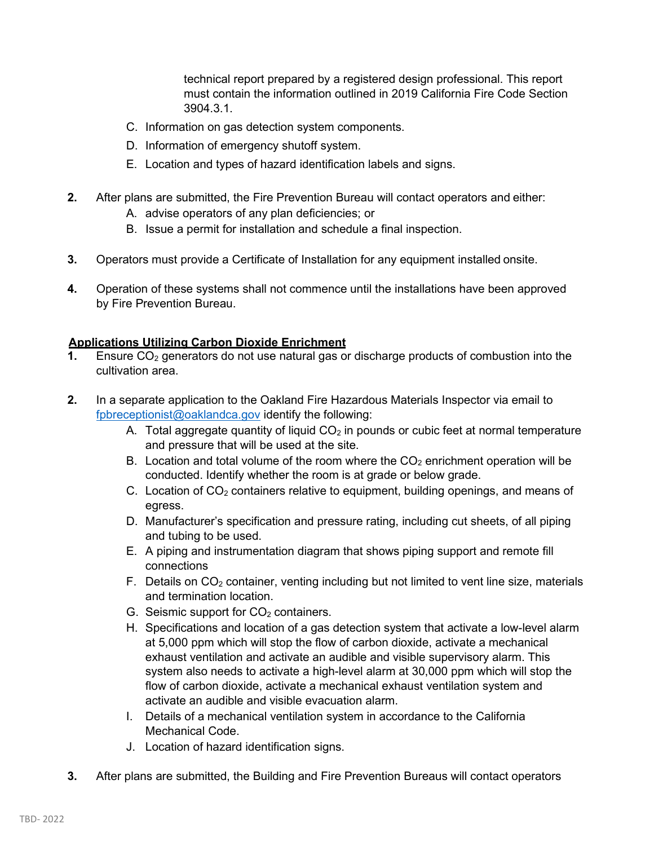technical report prepared by a registered design professional. This report must contain the information outlined in 2019 California Fire Code Section 3904.3.1.

- C. Information on gas detection system components.
- D. Information of emergency shutoff system.
- E. Location and types of hazard identification labels and signs.
- **2.** After plans are submitted, the Fire Prevention Bureau will contact operators and either:
	- A. advise operators of any plan deficiencies; or
	- B. Issue a permit for installation and schedule a final inspection.
- **3.** Operators must provide a Certificate of Installation for any equipment installed onsite.
- **4.** Operation of these systems shall not commence until the installations have been approved by Fire Prevention Bureau.

## **Applications Utilizing Carbon Dioxide Enrichment**

- **1.** Ensure CO<sub>2</sub> generators do not use natural gas or discharge products of combustion into the cultivation area.
- **2.** In a separate application to the Oakland Fire Hazardous Materials Inspector via email to [fpbreceptionist@oaklandca.gov](mailto:jschmidt2@oaklandca.gov) identify the following:
	- A. Total aggregate quantity of liquid  $CO<sub>2</sub>$  in pounds or cubic feet at normal temperature and pressure that will be used at the site.
	- B. Location and total volume of the room where the  $CO<sub>2</sub>$  enrichment operation will be conducted. Identify whether the room is at grade or below grade.
	- C. Location of  $CO<sub>2</sub>$  containers relative to equipment, building openings, and means of egress.
	- D. Manufacturer's specification and pressure rating, including cut sheets, of all piping and tubing to be used.
	- E. A piping and instrumentation diagram that shows piping support and remote fill connections
	- F. Details on  $CO<sub>2</sub>$  container, venting including but not limited to vent line size, materials and termination location.
	- G. Seismic support for  $CO<sub>2</sub>$  containers.
	- H. Specifications and location of a gas detection system that activate a low-level alarm at 5,000 ppm which will stop the flow of carbon dioxide, activate a mechanical exhaust ventilation and activate an audible and visible supervisory alarm. This system also needs to activate a high-level alarm at 30,000 ppm which will stop the flow of carbon dioxide, activate a mechanical exhaust ventilation system and activate an audible and visible evacuation alarm.
	- I. Details of a mechanical ventilation system in accordance to the California Mechanical Code.
	- J. Location of hazard identification signs.
- **3.** After plans are submitted, the Building and Fire Prevention Bureaus will contact operators